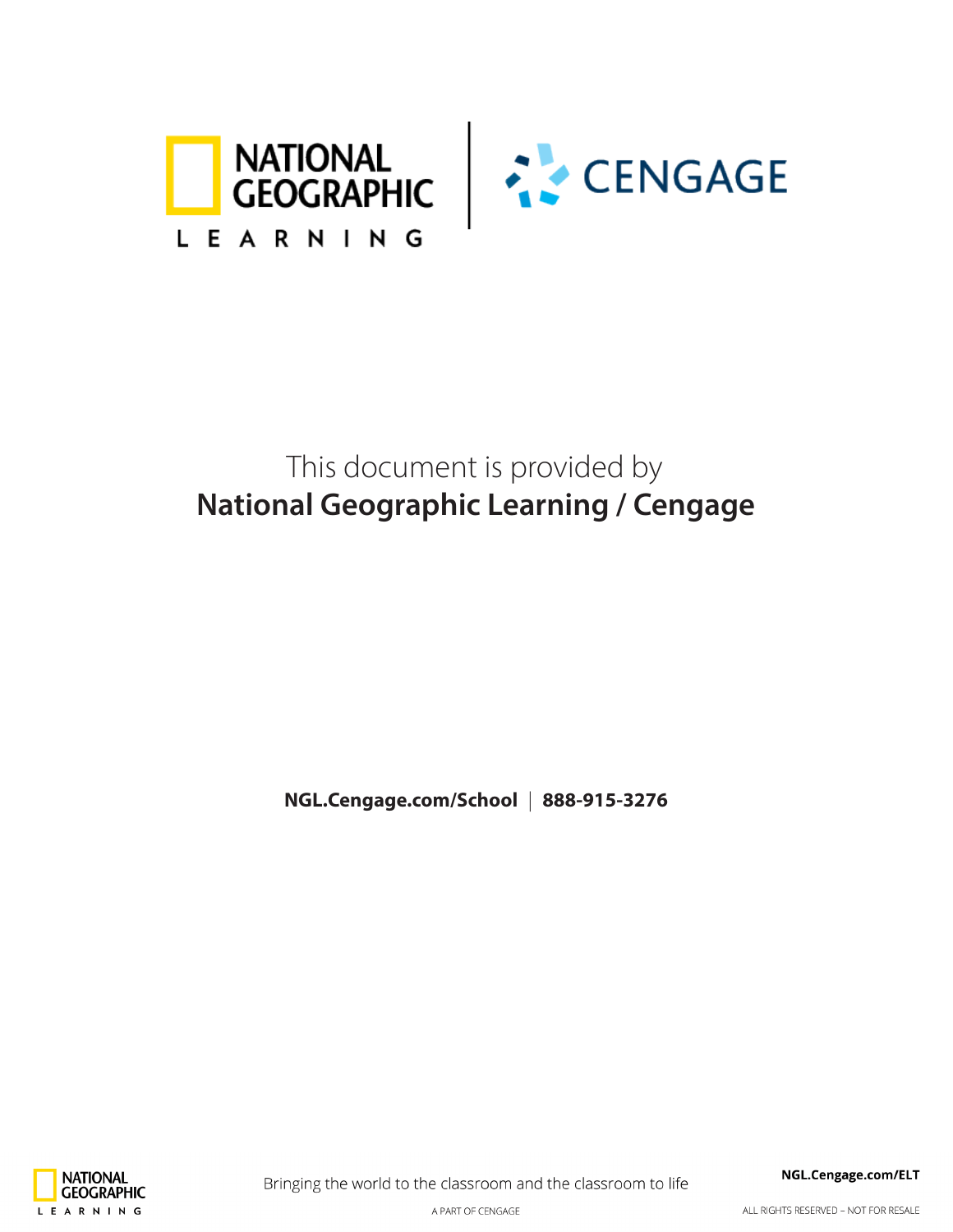



## This document is provided by **National Geographic Learning / Cengage**

**NGL.Cengage.com/School** | **888-915-3276**



Bringing the world to the classroom and the classroom to life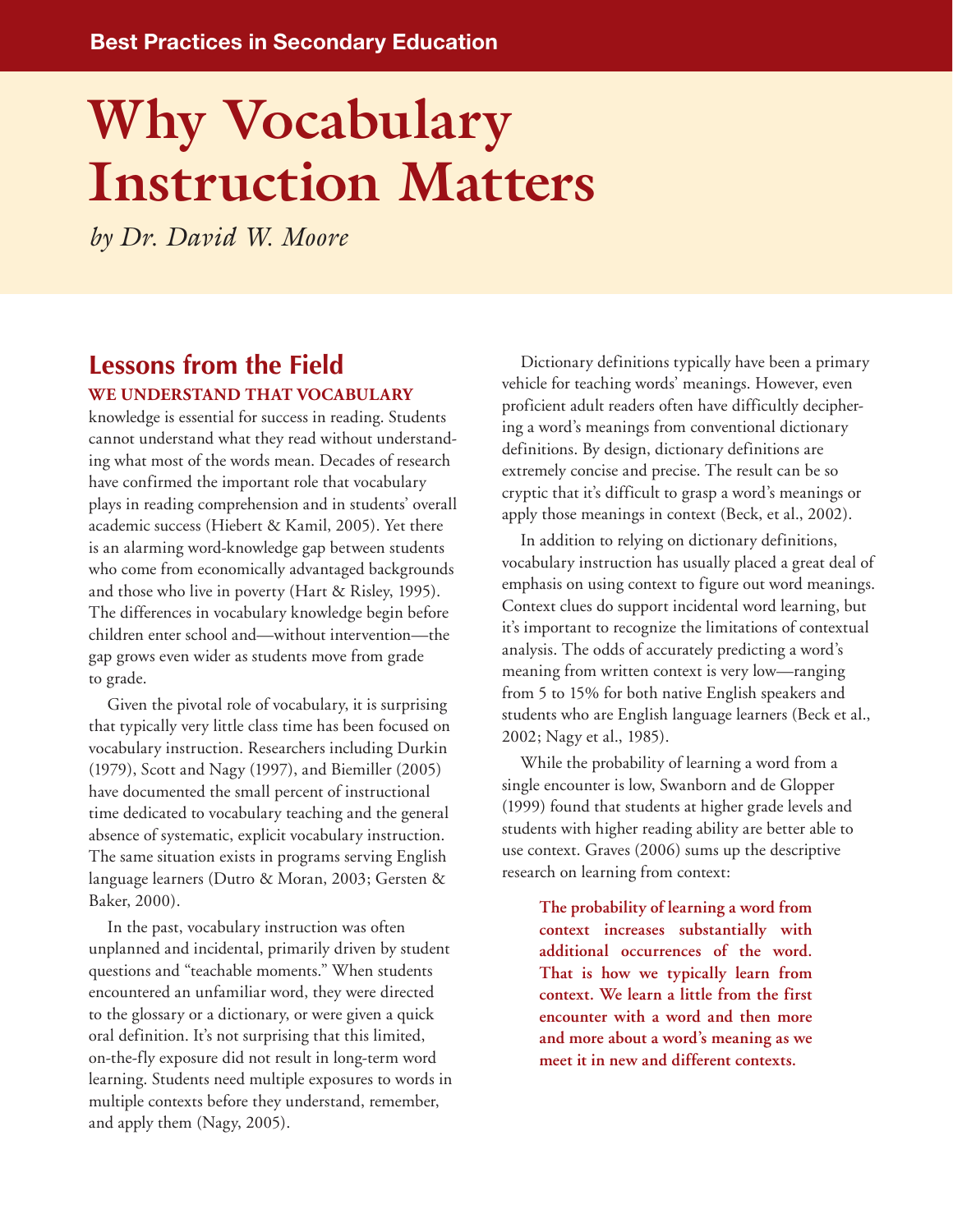# **Why Vocabulary Instruction Matters**

*by Dr. David W. Moore*

### **Lessons from the Field We understand that vocabulary**

knowledge is essential for success in reading. Students cannot understand what they read without understanding what most of the words mean. Decades of research have confirmed the important role that vocabulary plays in reading comprehension and in students' overall academic success (Hiebert & Kamil, 2005). Yet there is an alarming word-knowledge gap between students who come from economically advantaged backgrounds and those who live in poverty (Hart & Risley, 1995). The differences in vocabulary knowledge begin before children enter school and—without intervention—the gap grows even wider as students move from grade to grade.

Given the pivotal role of vocabulary, it is surprising that typically very little class time has been focused on vocabulary instruction. Researchers including Durkin (1979), Scott and Nagy (1997), and Biemiller (2005) have documented the small percent of instructional time dedicated to vocabulary teaching and the general absence of systematic, explicit vocabulary instruction. The same situation exists in programs serving English language learners (Dutro & Moran, 2003; Gersten & Baker, 2000).

In the past, vocabulary instruction was often unplanned and incidental, primarily driven by student questions and "teachable moments." When students encountered an unfamiliar word, they were directed to the glossary or a dictionary, or were given a quick oral definition. It's not surprising that this limited, on-the-fly exposure did not result in long-term word learning. Students need multiple exposures to words in multiple contexts before they understand, remember, and apply them (Nagy, 2005).

Dictionary definitions typically have been a primary vehicle for teaching words' meanings. However, even proficient adult readers often have difficultly deciphering a word's meanings from conventional dictionary definitions. By design, dictionary definitions are extremely concise and precise. The result can be so cryptic that it's difficult to grasp a word's meanings or apply those meanings in context (Beck, et al., 2002).

In addition to relying on dictionary definitions, vocabulary instruction has usually placed a great deal of emphasis on using context to figure out word meanings. Context clues do support incidental word learning, but it's important to recognize the limitations of contextual analysis. The odds of accurately predicting a word's meaning from written context is very low—ranging from 5 to 15% for both native English speakers and students who are English language learners (Beck et al., 2002; Nagy et al., 1985).

While the probability of learning a word from a single encounter is low, Swanborn and de Glopper (1999) found that students at higher grade levels and students with higher reading ability are better able to use context. Graves (2006) sums up the descriptive research on learning from context:

> **The probability of learning a word from context increases substantially with additional occurrences of the word. That is how we typically learn from context. We learn a little from the first encounter with a word and then more and more about a word's meaning as we meet it in new and different contexts.**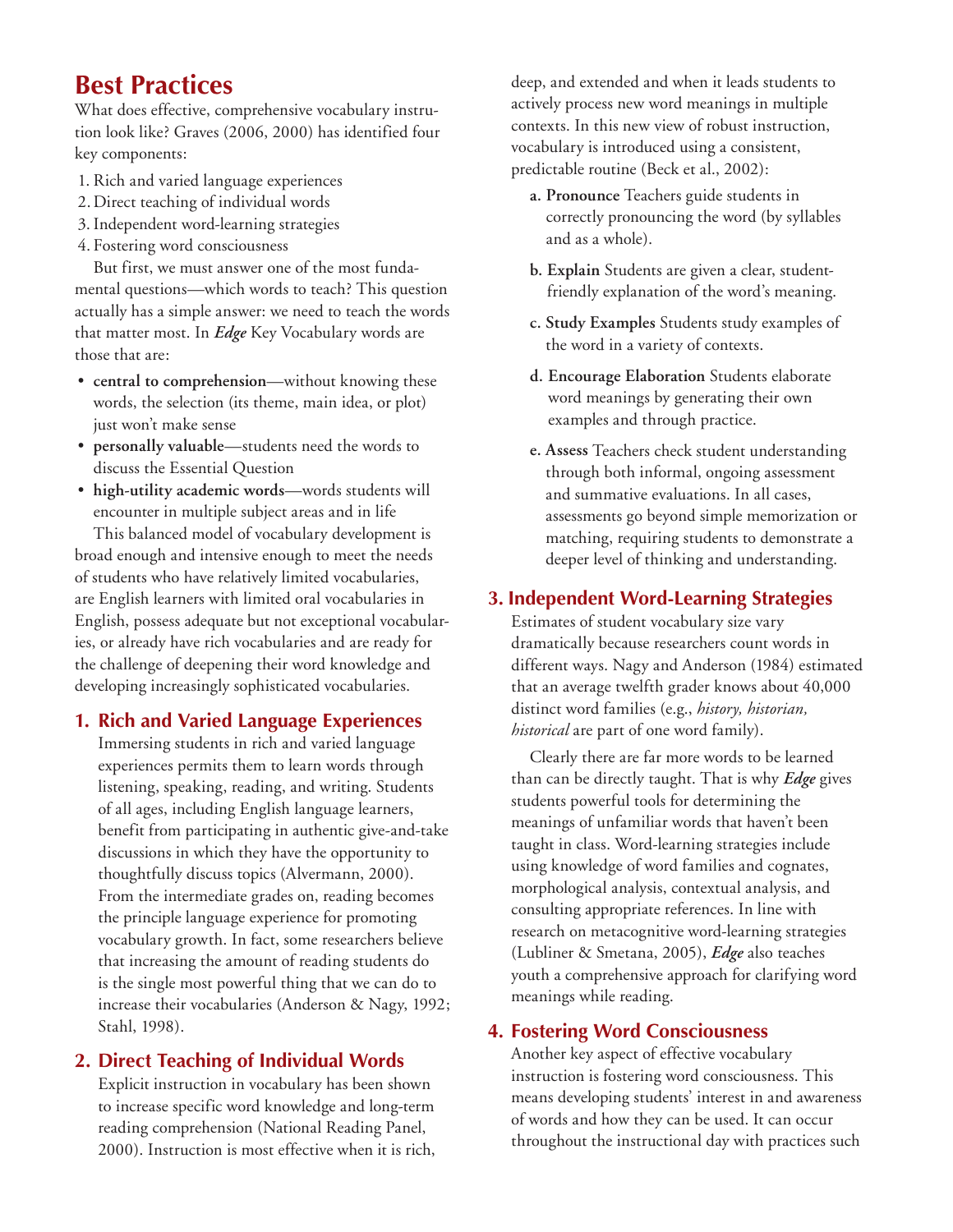## **Best Practices**

What does effective, comprehensive vocabulary instrution look like? Graves (2006, 2000) has identified four key components:

- 1. Rich and varied language experiences
- 2.Direct teaching of individual words
- 3.Independent word-learning strategies
- 4. Fostering word consciousness

But first, we must answer one of the most fundamental questions—which words to teach? This question actually has a simple answer: we need to teach the words that matter most. In *Edge* Key Vocabulary words are those that are:

- **central to comprehension**—without knowing these words, the selection (its theme, main idea, or plot) just won't make sense
- **personally valuable**—students need the words to discuss the Essential Question
- **high-utility academic words**—words students will encounter in multiple subject areas and in life

This balanced model of vocabulary development is broad enough and intensive enough to meet the needs of students who have relatively limited vocabularies, are English learners with limited oral vocabularies in English, possess adequate but not exceptional vocabularies, or already have rich vocabularies and are ready for the challenge of deepening their word knowledge and developing increasingly sophisticated vocabularies.

#### **1. Rich and Varied Language Experiences**

Immersing students in rich and varied language experiences permits them to learn words through listening, speaking, reading, and writing. Students of all ages, including English language learners, benefit from participating in authentic give-and-take discussions in which they have the opportunity to thoughtfully discuss topics (Alvermann, 2000). From the intermediate grades on, reading becomes the principle language experience for promoting vocabulary growth. In fact, some researchers believe that increasing the amount of reading students do is the single most powerful thing that we can do to increase their vocabularies (Anderson & Nagy, 1992; Stahl, 1998).

#### **2. Direct Teaching of Individual Words**

Explicit instruction in vocabulary has been shown to increase specific word knowledge and long-term reading comprehension (National Reading Panel, 2000). Instruction is most effective when it is rich, deep, and extended and when it leads students to actively process new word meanings in multiple contexts. In this new view of robust instruction, vocabulary is introduced using a consistent, predictable routine (Beck et al., 2002):

- **a. Pronounce** Teachers guide students in correctly pronouncing the word (by syllables and as a whole).
- **b. Explain** Students are given a clear, studentfriendly explanation of the word's meaning.
- **c. Study Examples** Students study examples of the word in a variety of contexts.
- **d. Encourage Elaboration** Students elaborate word meanings by generating their own examples and through practice.
- **e. Assess** Teachers check student understanding through both informal, ongoing assessment and summative evaluations. In all cases, assessments go beyond simple memorization or matching, requiring students to demonstrate a deeper level of thinking and understanding.

#### **3. Independent Word-Learning Strategies**

Estimates of student vocabulary size vary dramatically because researchers count words in different ways. Nagy and Anderson (1984) estimated that an average twelfth grader knows about 40,000 distinct word families (e.g., *history, historian, historical* are part of one word family).

Clearly there are far more words to be learned than can be directly taught. That is why *Edge* gives students powerful tools for determining the meanings of unfamiliar words that haven't been taught in class. Word-learning strategies include using knowledge of word families and cognates, morphological analysis, contextual analysis, and consulting appropriate references. In line with research on metacognitive word-learning strategies (Lubliner & Smetana, 2005), *Edge* also teaches youth a comprehensive approach for clarifying word meanings while reading.

#### **4. Fostering Word Consciousness**

Another key aspect of effective vocabulary instruction is fostering word consciousness. This means developing students' interest in and awareness of words and how they can be used. It can occur throughout the instructional day with practices such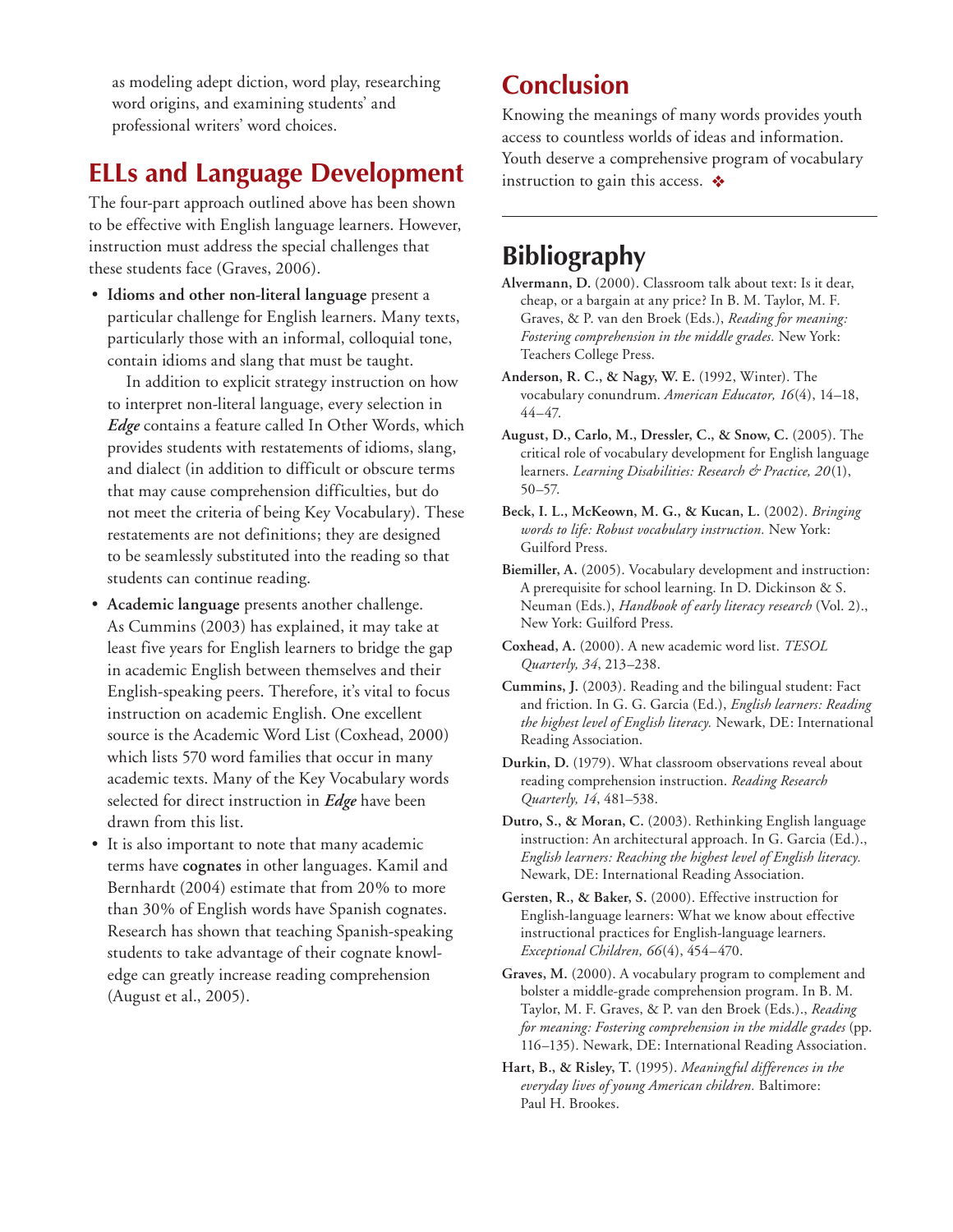as modeling adept diction, word play, researching word origins, and examining students' and professional writers' word choices.

## **ELLs and Language Development**

The four-part approach outlined above has been shown to be effective with English language learners. However, instruction must address the special challenges that these students face (Graves, 2006).

• **Idioms and other non-literal language** present a particular challenge for English learners. Many texts, particularly those with an informal, colloquial tone, contain idioms and slang that must be taught.

In addition to explicit strategy instruction on how to interpret non-literal language, every selection in *Edge* contains a feature called In Other Words, which provides students with restatements of idioms, slang, and dialect (in addition to difficult or obscure terms that may cause comprehension difficulties, but do not meet the criteria of being Key Vocabulary). These restatements are not definitions; they are designed to be seamlessly substituted into the reading so that students can continue reading.

- **Academic language** presents another challenge. As Cummins (2003) has explained, it may take at least five years for English learners to bridge the gap in academic English between themselves and their English-speaking peers. Therefore, it's vital to focus instruction on academic English. One excellent source is the Academic Word List (Coxhead, 2000) which lists 570 word families that occur in many academic texts. Many of the Key Vocabulary words selected for direct instruction in *Edge* have been drawn from this list.
- It is also important to note that many academic terms have **cognates** in other languages. Kamil and Bernhardt (2004) estimate that from 20% to more than 30% of English words have Spanish cognates. Research has shown that teaching Spanish-speaking students to take advantage of their cognate knowledge can greatly increase reading comprehension (August et al., 2005).

## **Conclusion**

Knowing the meanings of many words provides youth access to countless worlds of ideas and information. Youth deserve a comprehensive program of vocabulary instruction to gain this access.  $\triangleleft$ 

## **Bibliography**

- **Alvermann, D.** (2000). Classroom talk about text: Is it dear, cheap, or a bargain at any price? In B. M. Taylor, M. F. Graves, & P. van den Broek (Eds.), *Reading for meaning: Fostering comprehension in the middle grades.* New York: Teachers College Press.
- **Anderson, R. C., & Nagy, W. E.** (1992, Winter). The vocabulary conundrum. *American Educator, 16*(4), 14–18, 44–47.
- **August, D., Carlo, M., Dressler, C., & Snow, C.** (2005). The critical role of vocabulary development for English language learners. *Learning Disabilities: Research & Practice, 20*(1), 50–57.
- **Beck, I. L., McKeown, M. G., & Kucan, L.** (2002). *Bringing words to life: Robust vocabulary instruction.* New York: Guilford Press.
- **Biemiller, A.** (2005). Vocabulary development and instruction: A prerequisite for school learning. In D. Dickinson & S. Neuman (Eds.), *Handbook of early literacy research* (Vol. 2)., New York: Guilford Press.
- **Coxhead, A.** (2000). A new academic word list. *TESOL Quarterly, 34*, 213–238.
- **Cummins, J.** (2003). Reading and the bilingual student: Fact and friction. In G. G. Garcia (Ed.), *English learners: Reading the highest level of English literacy.* Newark, DE: International Reading Association.
- **Durkin, D.** (1979). What classroom observations reveal about reading comprehension instruction. *Reading Research Quarterly, 14*, 481–538.
- **Dutro, S., & Moran, C.** (2003). Rethinking English language instruction: An architectural approach. In G. Garcia (Ed.)., *English learners: Reaching the highest level of English literacy.* Newark, DE: International Reading Association.
- **Gersten, R., & Baker, S.** (2000). Effective instruction for English-language learners: What we know about effective instructional practices for English-language learners. *Exceptional Children, 66*(4), 454–470.
- **Graves, M.** (2000). A vocabulary program to complement and bolster a middle-grade comprehension program. In B. M. Taylor, M. F. Graves, & P. van den Broek (Eds.)., *Reading for meaning: Fostering comprehension in the middle grades* (pp. 116–135). Newark, DE: International Reading Association.
- **Hart, B., & Risley, T.** (1995). *Meaningful differences in the everyday lives of young American children.* Baltimore: Paul H. Brookes.